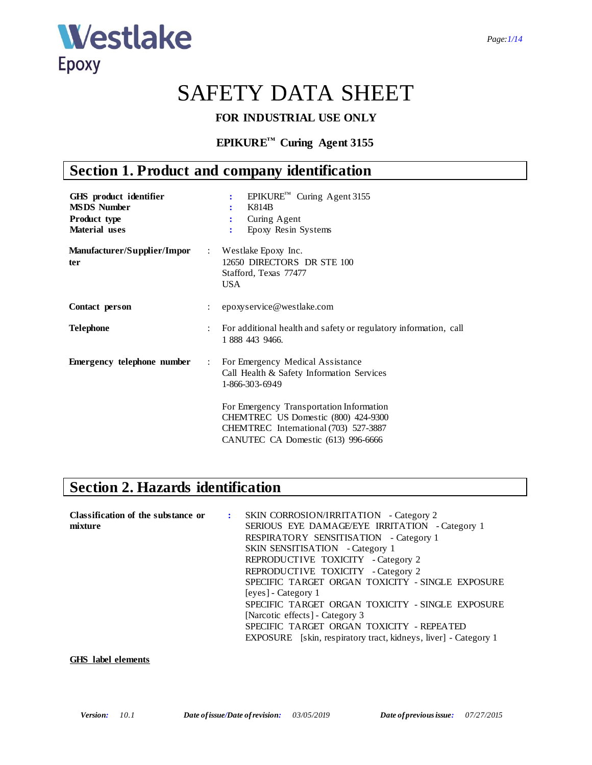

# SAFETY DATA SHEET

### **FOR INDUSTRIAL USE ONLY**

## **EPIKURE™ Curing Agent 3155**

# **Section 1. Product and company identification**

| GHS product identifier<br><b>MSDS Number</b><br>Product type<br><b>Material</b> uses |                | EPIKURE™ Curing Agent 3155<br>÷<br>K814B<br>Curing Agent<br>፡<br>Epoxy Resin Systems<br>$\ddot{\cdot}$                                                         |
|--------------------------------------------------------------------------------------|----------------|----------------------------------------------------------------------------------------------------------------------------------------------------------------|
| <b>Manufacturer/Supplier/Impor</b><br>ter                                            |                | : Westlake Epoxy Inc.<br>12650 DIRECTORS DR STE 100<br>Stafford, Texas 77477<br>USA.                                                                           |
| Contact person                                                                       | ÷              | epoxyservice@westlake.com                                                                                                                                      |
| <b>Telephone</b>                                                                     | $\ddot{\cdot}$ | For additional health and safety or regulatory information, call<br>1 888 443 9466.                                                                            |
| <b>Emergency telephone number</b>                                                    | $\mathcal{L}$  | For Emergency Medical Assistance<br>Call Health & Safety Information Services<br>1-866-303-6949                                                                |
|                                                                                      |                | For Emergency Transportation Information<br>CHEMTREC US Domestic (800) 424-9300<br>CHEMTREC International (703) 527-3887<br>CANUTEC CA Domestic (613) 996-6666 |

# **Section 2. Hazards identification**

| Classification of the substance or | : SKIN CORROSION/IRRITATION - Category 2                               |
|------------------------------------|------------------------------------------------------------------------|
| mixture                            | SERIOUS EYE DAMAGE/EYE IRRITATION - Category 1                         |
|                                    | RESPIRATORY SENSITISATION - Category 1                                 |
|                                    | <b>SKIN SENSITISATION</b> - Category 1                                 |
|                                    | REPRODUCTIVE TOXICITY - Category 2                                     |
|                                    | REPRODUCTIVE TOXICITY - Category 2                                     |
|                                    | SPECIFIC TARGET ORGAN TOXICITY - SINGLE EXPOSURE                       |
|                                    | [eyes] - Category 1                                                    |
|                                    | SPECIFIC TARGET ORGAN TOXICITY - SINGLE EXPOSURE                       |
|                                    | [Narcotic effects] - Category 3                                        |
|                                    | SPECIFIC TARGET ORGAN TOXICITY - REPEATED                              |
|                                    | <b>EXPOSURE</b> [skin, respiratory tract, kidneys, liver] - Category 1 |
|                                    |                                                                        |

### **GHS label elements**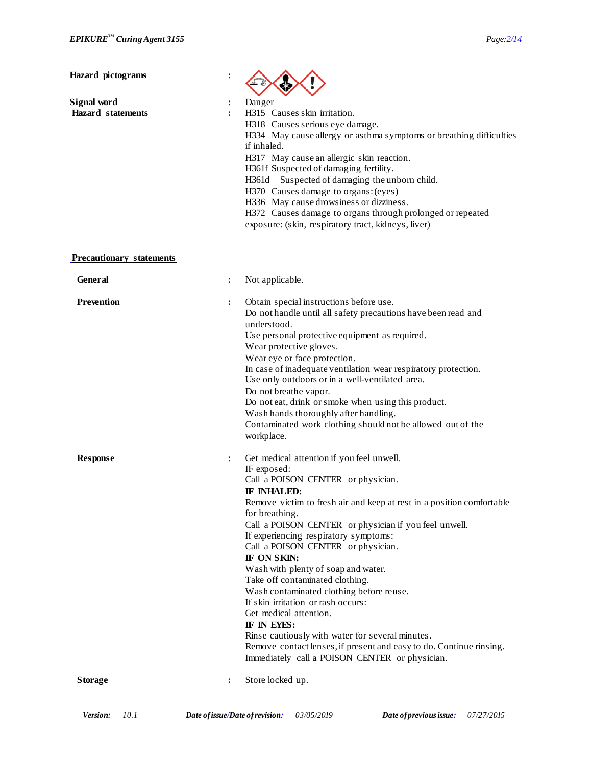**Hazard pictograms :**

| Signal word |                          |  |
|-------------|--------------------------|--|
|             | <b>Hazard</b> statements |  |



**:** Danger **:** H315 Causes skin irritation. H318 Causes serious eye damage. H334 May cause allergy or asthma symptoms or breathing difficulties if inhaled. H317 May cause an allergic skin reaction. H361f Suspected of damaging fertility. H361d Suspected of damaging the unborn child. H370 Causes damage to organs: (eyes) H336 May cause drowsiness or dizziness. H372 Causes damage to organs through prolonged or repeated exposure: (skin, respiratory tract, kidneys, liver)

### **Precautionary statements**

| <b>General</b>    |                | Not applicable.                                                                                                                                                                                                                                                                                                                                                                                                                                                                                                                                                                                                                                                                                                                                   |
|-------------------|----------------|---------------------------------------------------------------------------------------------------------------------------------------------------------------------------------------------------------------------------------------------------------------------------------------------------------------------------------------------------------------------------------------------------------------------------------------------------------------------------------------------------------------------------------------------------------------------------------------------------------------------------------------------------------------------------------------------------------------------------------------------------|
| <b>Prevention</b> | ÷              | Obtain special instructions before use.<br>Do not handle until all safety precautions have been read and<br>understood.<br>Use personal protective equipment as required.<br>Wear protective gloves.<br>Wear eye or face protection.<br>In case of inadequate ventilation wear respiratory protection.<br>Use only outdoors or in a well-ventilated area.<br>Do not breathe vapor.<br>Do not eat, drink or smoke when using this product.<br>Wash hands thoroughly after handling.<br>Contaminated work clothing should not be allowed out of the<br>workplace.                                                                                                                                                                                   |
| <b>Response</b>   | $\ddot{\cdot}$ | Get medical attention if you feel unwell.<br>IF exposed:<br>Call a POISON CENTER or physician.<br>IF INHALED:<br>Remove victim to fresh air and keep at rest in a position comfortable<br>for breathing.<br>Call a POISON CENTER or physician if you feel unwell.<br>If experiencing respiratory symptoms:<br>Call a POISON CENTER or physician.<br>IF ON SKIN:<br>Wash with plenty of soap and water.<br>Take off contaminated clothing.<br>Wash contaminated clothing before reuse.<br>If skin irritation or rash occurs:<br>Get medical attention.<br>IF IN EYES:<br>Rinse cautiously with water for several minutes.<br>Remove contact lenses, if present and easy to do. Continue rinsing.<br>Immediately call a POISON CENTER or physician. |
| <b>Storage</b>    | ÷              | Store locked up.                                                                                                                                                                                                                                                                                                                                                                                                                                                                                                                                                                                                                                                                                                                                  |
|                   |                |                                                                                                                                                                                                                                                                                                                                                                                                                                                                                                                                                                                                                                                                                                                                                   |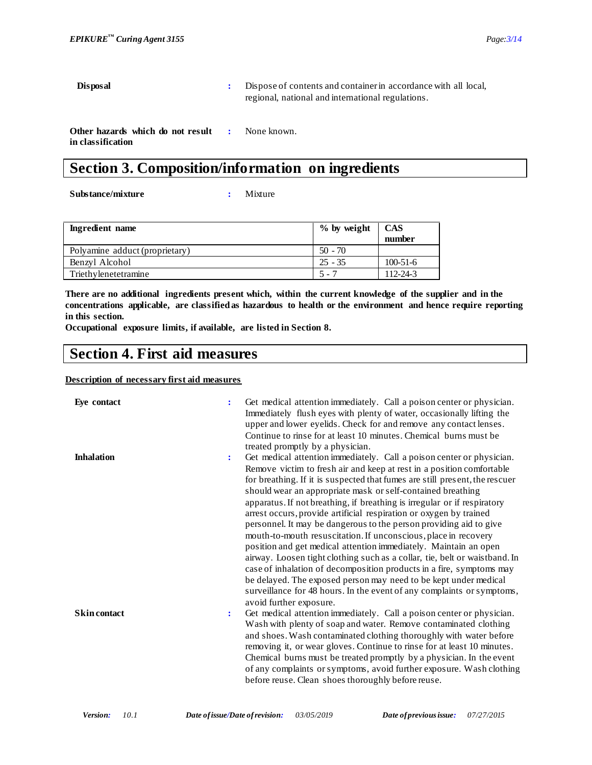**Disposal :** Dispose of contents and container in accordance with all local, regional, national and international regulations.

**Other hazards which do not result in classification :** None known.

# **Section 3. Composition/information on ingredients**

**Substance/mixture :** Mixture

| Ingredient name                | $\%$ by weight | <b>CAS</b><br>number |
|--------------------------------|----------------|----------------------|
| Polyamine adduct (proprietary) | $50 - 70$      |                      |
| Benzyl Alcohol                 | $25 - 35$      | $100 - 51 - 6$       |
| Triethylenetetramine           | $5 - 7$        | $112 - 24 - 3$       |

**There are no additional ingredients present which, within the current knowledge of the supplier and in the concentrations applicable, are classified as hazardous to health or the environment and hence require reporting in this section.**

**Occupational exposure limits, if available, are listed in Section 8.**

## **Section 4. First aid measures**

### **Description of necessary first aid measures**

| Eye contact         | $\ddot{\cdot}$ | Get medical attention immediately. Call a poison center or physician.<br>Immediately flush eyes with plenty of water, occasionally lifting the<br>upper and lower eyelids. Check for and remove any contact lenses.<br>Continue to rinse for at least 10 minutes. Chemical burns must be<br>treated promptly by a physician.                                                                                                                                                                                                                                                            |
|---------------------|----------------|-----------------------------------------------------------------------------------------------------------------------------------------------------------------------------------------------------------------------------------------------------------------------------------------------------------------------------------------------------------------------------------------------------------------------------------------------------------------------------------------------------------------------------------------------------------------------------------------|
| <b>Inhalation</b>   | $\ddot{\cdot}$ | Get medical attention immediately. Call a poison center or physician.<br>Remove victim to fresh air and keep at rest in a position comfortable<br>for breathing. If it is suspected that fumes are still present, the rescuer<br>should wear an appropriate mask or self-contained breathing<br>apparatus. If not breathing, if breathing is irregular or if respiratory<br>arrest occurs, provide artificial respiration or oxygen by trained<br>personnel. It may be dangerous to the person providing aid to give<br>mouth-to-mouth resuscitation. If unconscious, place in recovery |
|                     |                | position and get medical attention immediately. Maintain an open<br>airway. Loosen tight clothing such as a collar, tie, belt or waistband. In<br>case of inhalation of decomposition products in a fire, symptoms may<br>be delayed. The exposed person may need to be kept under medical<br>surveillance for 48 hours. In the event of any complaints or symptoms,<br>avoid further exposure.                                                                                                                                                                                         |
| <b>Skin contact</b> | $\ddot{\cdot}$ | Get medical attention immediately. Call a poison center or physician.<br>Wash with plenty of soap and water. Remove contaminated clothing<br>and shoes. Wash contaminated clothing thoroughly with water before<br>removing it, or wear gloves. Continue to rinse for at least 10 minutes.<br>Chemical burns must be treated promptly by a physician. In the event<br>of any complaints or symptoms, avoid further exposure. Wash clothing<br>before reuse. Clean shoes thoroughly before reuse.                                                                                        |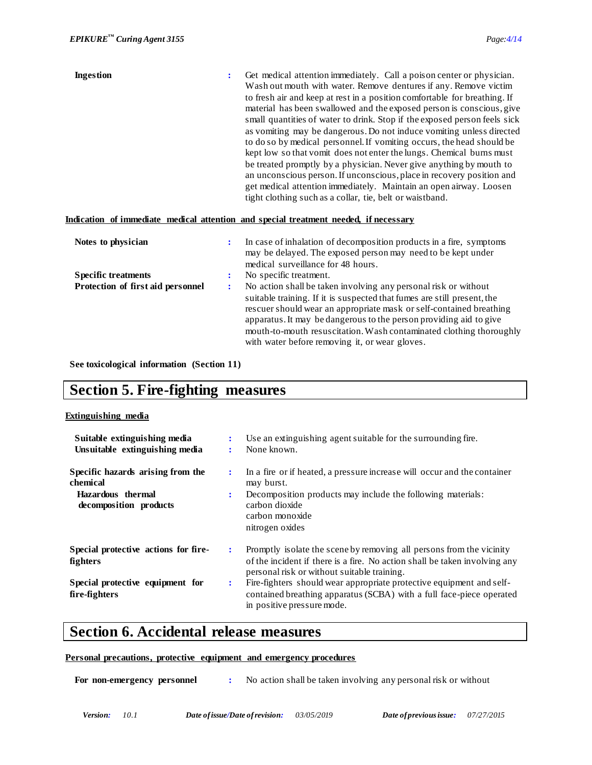| <b>Ingestion</b> | Get medical attention immediately. Call a poison center or physician.     |
|------------------|---------------------------------------------------------------------------|
|                  | Wash out mouth with water. Remove dentures if any. Remove victim          |
|                  | to fresh air and keep at rest in a position comfortable for breathing. If |
|                  | material has been swallowed and the exposed person is conscious, give     |
|                  | small quantities of water to drink. Stop if the exposed person feels sick |
|                  | as vomiting may be dangerous. Do not induce vomiting unless directed      |
|                  | to do so by medical personnel. If vomiting occurs, the head should be     |
|                  | kept low so that vomit does not enter the lungs. Chemical burns must      |
|                  | be treated promptly by a physician. Never give anything by mouth to       |
|                  | an unconscious person. If unconscious, place in recovery position and     |
|                  | get medical attention immediately. Maintain an open airway. Loosen        |
|                  | tight clothing such as a collar, tie, belt or waistband.                  |

### **Indication of immediate medical attention and special treatment needed, if necessary**

| Notes to physician                | ÷                      | In case of inhalation of decomposition products in a fire, symptoms<br>may be delayed. The exposed person may need to be kept under<br>medical surveillance for 48 hours.                                                                                                                                                                     |
|-----------------------------------|------------------------|-----------------------------------------------------------------------------------------------------------------------------------------------------------------------------------------------------------------------------------------------------------------------------------------------------------------------------------------------|
| <b>Specific treatments</b>        |                        | No specific treatment.                                                                                                                                                                                                                                                                                                                        |
| Protection of first aid personnel | $\bullet$<br>$\bullet$ | No action shall be taken involving any personal risk or without                                                                                                                                                                                                                                                                               |
|                                   |                        | suitable training. If it is suspected that fumes are still present, the<br>rescuer should wear an appropriate mask or self-contained breathing<br>apparatus. It may be dangerous to the person providing aid to give<br>mouth-to-mouth resuscitation. Wash contaminated clothing thoroughly<br>with water before removing it, or wear gloves. |

**See toxicological information (Section 11)**

## **Section 5. Fire-fighting measures**

### **Extinguishing media**

| Suitable extinguishing media<br>Unsuitable extinguishing media | $\bullet$ | Use an extinguishing agent suitable for the surrounding fire.<br>None known.                                                                                                                      |
|----------------------------------------------------------------|-----------|---------------------------------------------------------------------------------------------------------------------------------------------------------------------------------------------------|
| Specific hazards arising from the<br>chemical                  | ÷         | In a fire or if heated, a pressure increase will occur and the container<br>may burst.                                                                                                            |
| Hazardous thermal<br>decomposition products                    | ÷         | Decomposition products may include the following materials:<br>carbon dioxide<br>carbon monoxide<br>nitrogen oxides                                                                               |
| Special protective actions for fire-<br>fighters               | ÷         | Promptly isolate the scene by removing all persons from the vicinity<br>of the incident if there is a fire. No action shall be taken involving any<br>personal risk or without suitable training. |
| Special protective equipment for<br>fire-fighters              | ÷         | Fire-fighters should wear appropriate protective equipment and self-<br>contained breathing apparatus (SCBA) with a full face-piece operated<br>in positive pressure mode.                        |

## **Section 6. Accidental release measures**

### **Personal precautions, protective equipment and emergency procedures**

For non-emergency personnel : No action shall be taken involving any personal risk or without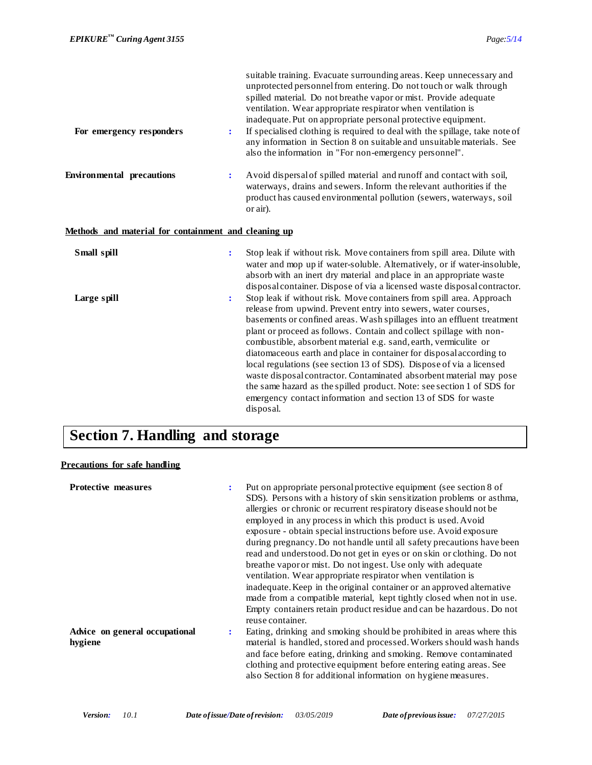| For emergency responders                             | $\ddot{\cdot}$ | suitable training. Evacuate surrounding areas. Keep unnecessary and<br>unprotected personnel from entering. Do not touch or walk through<br>spilled material. Do not breathe vapor or mist. Provide adequate<br>ventilation. Wear appropriate respirator when ventilation is<br>inadequate. Put on appropriate personal protective equipment.<br>If specialised clothing is required to deal with the spillage, take note of<br>any information in Section 8 on suitable and unsuitable materials. See<br>also the information in "For non-emergency personnel".                                                                                                                                                                          |
|------------------------------------------------------|----------------|-------------------------------------------------------------------------------------------------------------------------------------------------------------------------------------------------------------------------------------------------------------------------------------------------------------------------------------------------------------------------------------------------------------------------------------------------------------------------------------------------------------------------------------------------------------------------------------------------------------------------------------------------------------------------------------------------------------------------------------------|
| <b>Environmental precautions</b>                     | $\ddot{\cdot}$ | Avoid dispersal of spilled material and runoff and contact with soil,<br>waterways, drains and sewers. Inform the relevant authorities if the<br>product has caused environmental pollution (sewers, waterways, soil<br>or air).                                                                                                                                                                                                                                                                                                                                                                                                                                                                                                          |
| Methods and material for containment and cleaning up |                |                                                                                                                                                                                                                                                                                                                                                                                                                                                                                                                                                                                                                                                                                                                                           |
| Small spill                                          | $\ddot{\cdot}$ | Stop leak if without risk. Move containers from spill area. Dilute with<br>water and mop up if water-soluble. Alternatively, or if water-insoluble,<br>absorb with an inert dry material and place in an appropriate waste<br>disposal container. Dispose of via a licensed waste disposal contractor.                                                                                                                                                                                                                                                                                                                                                                                                                                    |
| Large spill                                          | $\ddot{\cdot}$ | Stop leak if without risk. Move containers from spill area. Approach<br>release from upwind. Prevent entry into sewers, water courses,<br>basements or confined areas. Wash spillages into an effluent treatment<br>plant or proceed as follows. Contain and collect spillage with non-<br>combustible, absorbent material e.g. sand, earth, vermiculite or<br>diatomaceous earth and place in container for disposal according to<br>local regulations (see section 13 of SDS). Dispose of via a licensed<br>waste disposal contractor. Contaminated absorbent material may pose<br>the same hazard as the spilled product. Note: see section 1 of SDS for<br>emergency contact information and section 13 of SDS for waste<br>disposal. |

# **Section 7. Handling and storage**

### **Precautions for safe handling**

| <b>Protective measures</b>                |                | Put on appropriate personal protective equipment (see section 8 of<br>SDS). Persons with a history of skin sensitization problems or asthma,<br>allergies or chronic or recurrent respiratory disease should not be<br>employed in any process in which this product is used. Avoid<br>exposure - obtain special instructions before use. Avoid exposure<br>during pregnancy. Do not handle until all safety precautions have been<br>read and understood. Do not get in eyes or on skin or clothing. Do not<br>breathe vapor or mist. Do not ingest. Use only with adequate<br>ventilation. Wear appropriate respirator when ventilation is<br>inadequate. Keep in the original container or an approved alternative<br>made from a compatible material, kept tightly closed when not in use.<br>Empty containers retain product residue and can be hazardous. Do not<br>reuse container. |
|-------------------------------------------|----------------|--------------------------------------------------------------------------------------------------------------------------------------------------------------------------------------------------------------------------------------------------------------------------------------------------------------------------------------------------------------------------------------------------------------------------------------------------------------------------------------------------------------------------------------------------------------------------------------------------------------------------------------------------------------------------------------------------------------------------------------------------------------------------------------------------------------------------------------------------------------------------------------------|
| Advice on general occupational<br>hygiene | $\ddot{\cdot}$ | Eating, drinking and smoking should be prohibited in areas where this<br>material is handled, stored and processed. Workers should wash hands<br>and face before eating, drinking and smoking. Remove contaminated<br>clothing and protective equipment before entering eating areas. See<br>also Section 8 for additional information on hygiene measures.                                                                                                                                                                                                                                                                                                                                                                                                                                                                                                                                |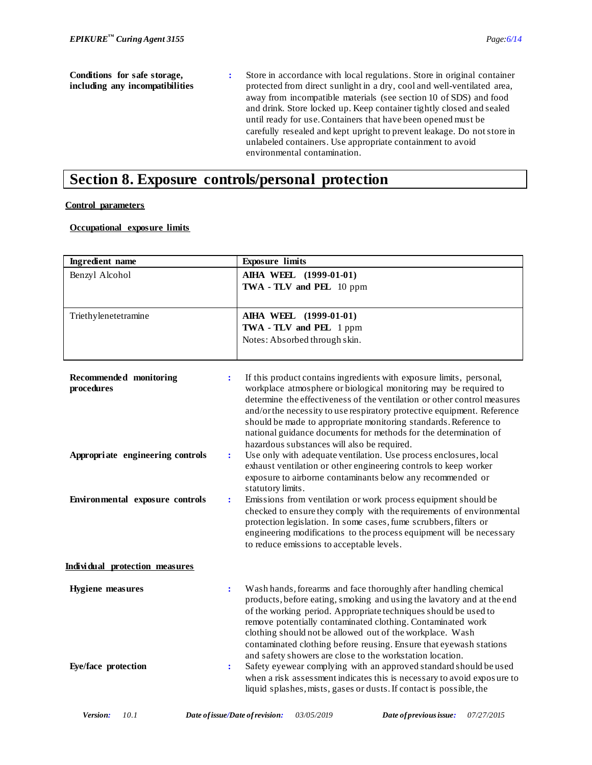**Conditions for safe storage, including any incompatibilities :** Store in accordance with local regulations. Store in original container protected from direct sunlight in a dry, cool and well-ventilated area, away from incompatible materials (see section 10 of SDS) and food and drink. Store locked up. Keep container tightly closed and sealed until ready for use. Containers that have been opened must be carefully resealed and kept upright to prevent leakage. Do not store in unlabeled containers. Use appropriate containment to avoid environmental contamination.

## **Section 8. Exposure controls/personal protection**

### **Control parameters**

### **Occupational exposure limits**

| <b>Ingredient</b> name                                 | <b>Exposure limits</b>                                                                                                                                                                                                                                                                                                                                                                                                                                                                 |
|--------------------------------------------------------|----------------------------------------------------------------------------------------------------------------------------------------------------------------------------------------------------------------------------------------------------------------------------------------------------------------------------------------------------------------------------------------------------------------------------------------------------------------------------------------|
| Benzyl Alcohol                                         | AIHA WEEL (1999-01-01)<br>TWA - TLV and PEL 10 ppm                                                                                                                                                                                                                                                                                                                                                                                                                                     |
|                                                        |                                                                                                                                                                                                                                                                                                                                                                                                                                                                                        |
| Triethylenetetramine                                   | AIHA WEEL (1999-01-01)<br>TWA - TLV and PEL 1 ppm                                                                                                                                                                                                                                                                                                                                                                                                                                      |
|                                                        | Notes: Absorbed through skin.                                                                                                                                                                                                                                                                                                                                                                                                                                                          |
|                                                        |                                                                                                                                                                                                                                                                                                                                                                                                                                                                                        |
| Recommended monitoring<br>$\ddot{\cdot}$<br>procedures | If this product contains ingredients with exposure limits, personal,<br>workplace atmosphere or biological monitoring may be required to<br>determine the effectiveness of the ventilation or other control measures<br>and/or the necessity to use respiratory protective equipment. Reference<br>should be made to appropriate monitoring standards. Reference to<br>national guidance documents for methods for the determination of<br>hazardous substances will also be required. |
| Appropriate engineering controls<br>$\ddot{\cdot}$     | Use only with adequate ventilation. Use process enclosures, local<br>exhaust ventilation or other engineering controls to keep worker<br>exposure to airborne contaminants below any recommended or<br>statutory limits.                                                                                                                                                                                                                                                               |
| Environmental exposure controls<br>÷                   | Emissions from ventilation or work process equipment should be<br>checked to ensure they comply with the requirements of environmental<br>protection legislation. In some cases, fume scrubbers, filters or<br>engineering modifications to the process equipment will be necessary<br>to reduce emissions to acceptable levels.                                                                                                                                                       |
| Individual protection measures                         |                                                                                                                                                                                                                                                                                                                                                                                                                                                                                        |
| <b>Hygiene</b> measures<br>$\ddot{\cdot}$              | Wash hands, forearms and face thoroughly after handling chemical<br>products, before eating, smoking and using the lavatory and at the end<br>of the working period. Appropriate techniques should be used to<br>remove potentially contaminated clothing. Contaminated work<br>clothing should not be allowed out of the workplace. Wash<br>contaminated clothing before reusing. Ensure that eyewash stations<br>and safety showers are close to the workstation location.           |
| Eye/face protection<br>÷                               | Safety eyewear complying with an approved standard should be used<br>when a risk assessment indicates this is necessary to avoid exposure to<br>liquid splashes, mists, gases or dusts. If contact is possible, the                                                                                                                                                                                                                                                                    |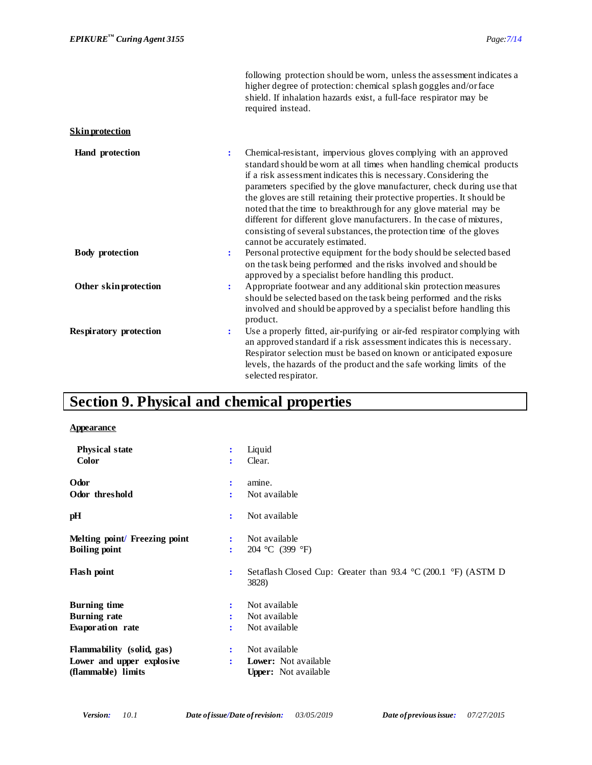|                               |                | following protection should be worn, unless the assessment indicates a<br>higher degree of protection: chemical splash goggles and/or face<br>shield. If inhalation hazards exist, a full-face respirator may be<br>required instead.                                                                                                                                                                                                                                                                                                                                                                                      |
|-------------------------------|----------------|----------------------------------------------------------------------------------------------------------------------------------------------------------------------------------------------------------------------------------------------------------------------------------------------------------------------------------------------------------------------------------------------------------------------------------------------------------------------------------------------------------------------------------------------------------------------------------------------------------------------------|
| <b>Skin protection</b>        |                |                                                                                                                                                                                                                                                                                                                                                                                                                                                                                                                                                                                                                            |
| Hand protection               | ÷              | Chemical-resistant, impervious gloves complying with an approved<br>standard should be worn at all times when handling chemical products<br>if a risk assessment indicates this is necessary. Considering the<br>parameters specified by the glove manufacturer, check during use that<br>the gloves are still retaining their protective properties. It should be<br>noted that the time to breakthrough for any glove material may be<br>different for different glove manufacturers. In the case of mixtures,<br>consisting of several substances, the protection time of the gloves<br>cannot be accurately estimated. |
| <b>Body protection</b>        | $\ddot{\cdot}$ | Personal protective equipment for the body should be selected based<br>on the task being performed and the risks involved and should be<br>approved by a specialist before handling this product.                                                                                                                                                                                                                                                                                                                                                                                                                          |
| Other skin protection         | ÷              | Appropriate footwear and any additional skin protection measures<br>should be selected based on the task being performed and the risks<br>involved and should be approved by a specialist before handling this<br>product.                                                                                                                                                                                                                                                                                                                                                                                                 |
| <b>Respiratory protection</b> | $\ddot{\cdot}$ | Use a properly fitted, air-purifying or air-fed respirator complying with<br>an approved standard if a risk assessment indicates this is necessary.<br>Respirator selection must be based on known or anticipated exposure<br>levels, the hazards of the product and the safe working limits of the<br>selected respirator.                                                                                                                                                                                                                                                                                                |

# **Section 9. Physical and chemical properties**

### **Appearance**

| <b>Physical state</b>         | Liquid<br>÷                                                                                                   |
|-------------------------------|---------------------------------------------------------------------------------------------------------------|
| <b>Color</b>                  | Clear.<br>$\ddot{\cdot}$                                                                                      |
| Odor                          | amine.<br>$\ddot{\cdot}$                                                                                      |
| Odor threshold                | Not available<br>$\ddot{\cdot}$                                                                               |
| pH                            | Not available<br>÷                                                                                            |
| Melting point/ Freezing point | Not available<br>÷                                                                                            |
| <b>Boiling point</b>          | 204 °C (399 °F)<br>÷                                                                                          |
| <b>Flash point</b>            | Setaflash Closed Cup: Greater than $93.4 \text{ °C}$ (200.1 $\text{ °F}$ ) (ASTM D<br>$\ddot{\cdot}$<br>3828) |
| <b>Burning time</b>           | Not available<br>:                                                                                            |
| <b>Burning rate</b>           | Not available                                                                                                 |
| Evaporation rate              | Not available                                                                                                 |
| Flammability (solid, gas)     | Not available<br>:                                                                                            |
| Lower and upper explosive     | <b>Lower:</b> Not available<br>÷                                                                              |
| (flammable) limits            | <b>Upper:</b> Not available                                                                                   |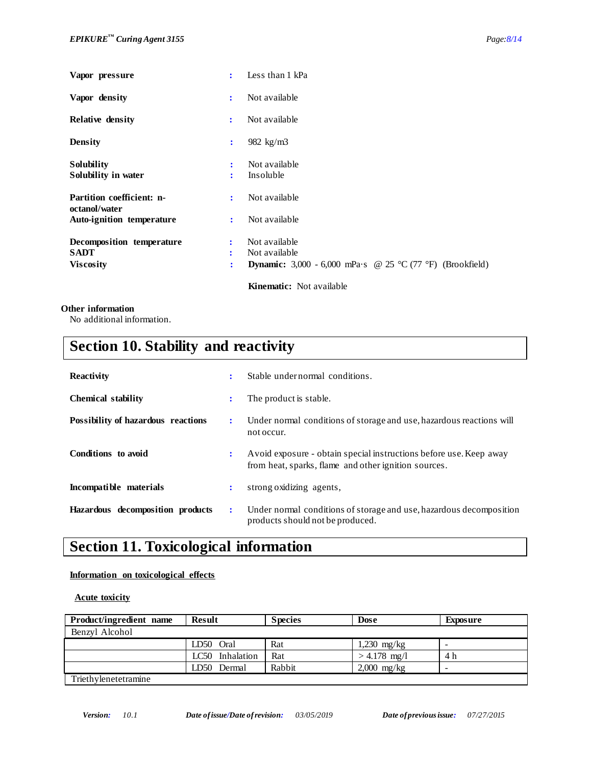| Vapor pressure                             | $\ddot{\cdot}$       | Less than 1 kPa                                                  |
|--------------------------------------------|----------------------|------------------------------------------------------------------|
| Vapor density                              | ÷                    | Not available                                                    |
| <b>Relative density</b>                    | ÷                    | Not available                                                    |
| <b>Density</b>                             | $\ddot{\cdot}$       | 982 kg/m3                                                        |
| <b>Solubility</b><br>Solubility in water   | ÷<br>÷               | Not available<br>Insoluble                                       |
| Partition coefficient: n-<br>octanol/water | ÷                    | Not available                                                    |
| Auto-ignition temperature                  | ÷                    | Not available                                                    |
| Decomposition temperature                  | $\ddot{\phantom{a}}$ | Not available                                                    |
| <b>SADT</b>                                | ÷                    | Not available                                                    |
| <b>Viscosity</b>                           | ÷                    | <b>Dynamic:</b> 3,000 - 6,000 mPa·s @ 25 °C (77 °F) (Brookfield) |
|                                            |                      | <b>Kinematic:</b> Not available                                  |

### **Other information**

No additional information.

# **Section 10. Stability and reactivity**

| <b>Reactivity</b>                  | ÷ | Stable undernormal conditions.                                                                                             |
|------------------------------------|---|----------------------------------------------------------------------------------------------------------------------------|
| <b>Chemical stability</b>          | ۰ | The product is stable.                                                                                                     |
| Possibility of hazardous reactions | ÷ | Under normal conditions of storage and use, hazardous reactions will<br>not occur.                                         |
| Conditions to avoid                | : | Avoid exposure - obtain special instructions before use. Keep away<br>from heat, sparks, flame and other ignition sources. |
| Incompatible materials             | : | strong oxidizing agents,                                                                                                   |
| Hazardous decomposition products   | ÷ | Under normal conditions of storage and use, hazardous decomposition<br>products should not be produced.                    |

# **Section 11. Toxicological information**

### **Information on toxicological effects**

 **Acute toxicity**

| Product/ingredient name | <b>Result</b>   | <b>Species</b> | <b>Dose</b>    | <b>Exposure</b> |
|-------------------------|-----------------|----------------|----------------|-----------------|
| Benzyl Alcohol          |                 |                |                |                 |
|                         | LD50 Oral       | Rat            | $1,230$ mg/kg  | -               |
|                         | LC50 Inhalation | Rat            | $> 4.178$ mg/l | 4 h             |
|                         | LD50 Dermal     | Rabbit         | $2,000$ mg/kg  |                 |
| Triethylenetetramine    |                 |                |                |                 |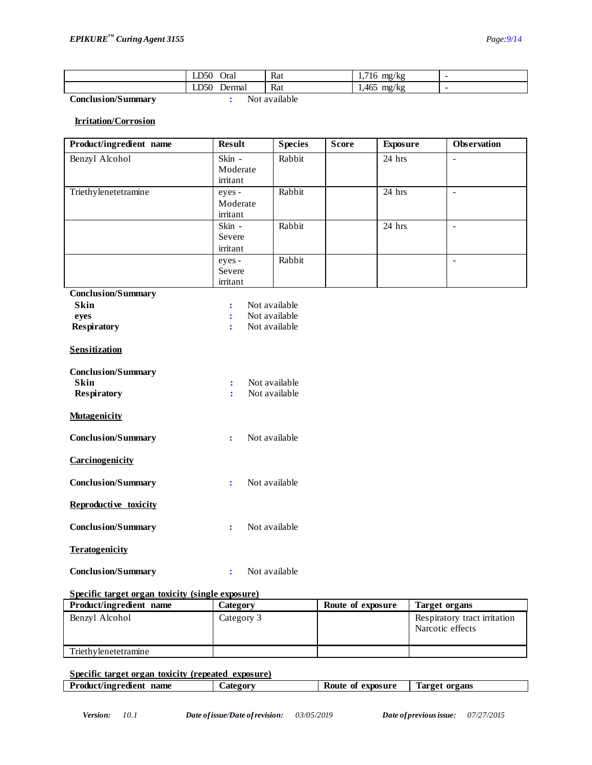|                    | LD50<br>Oral   | Rat           | $.716$ mg/kg<br> |  |
|--------------------|----------------|---------------|------------------|--|
|                    | LD50<br>Dermai | Rat           | .465<br>mg/kg    |  |
| Conclusion/Summary |                | Not available |                  |  |

### **Irritation/Corrosion**

| Product/ingredient name                                        | <b>Result</b>                  | <b>Species</b>                 | <b>Score</b> | <b>Exposure</b> | Observation    |
|----------------------------------------------------------------|--------------------------------|--------------------------------|--------------|-----------------|----------------|
| Benzyl Alcohol                                                 | Skin -<br>Moderate<br>irritant | Rabbit                         |              | 24 hrs          | $\overline{a}$ |
| Triethylenetetramine                                           | eyes -<br>Moderate<br>irritant | Rabbit                         |              | $24$ hrs        | $\mathbb{Z}^2$ |
|                                                                | Skin -<br>Severe<br>irritant   | Rabbit                         |              | 24 hrs          | $\overline{a}$ |
|                                                                | eyes -<br>Severe<br>irritant   | Rabbit                         |              |                 | $\overline{a}$ |
| <b>Conclusion/Summary</b>                                      |                                |                                |              |                 |                |
| <b>Skin</b>                                                    | $\ddot{\cdot}$                 | Not available                  |              |                 |                |
| eyes                                                           | $\ddot{\cdot}$                 | Not available                  |              |                 |                |
| <b>Respiratory</b>                                             | $\ddot{\cdot}$                 | Not available                  |              |                 |                |
| <b>Sensitization</b>                                           |                                |                                |              |                 |                |
| <b>Conclusion/Summary</b><br><b>Skin</b><br><b>Respiratory</b> | ÷<br>÷                         | Not available<br>Not available |              |                 |                |
| <b>Mutagenicity</b>                                            |                                |                                |              |                 |                |
| <b>Conclusion/Summary</b>                                      | $\ddot{\cdot}$                 | Not available                  |              |                 |                |
| Carcinogenicity                                                |                                |                                |              |                 |                |
| <b>Conclusion/Summary</b>                                      | $\ddot{\cdot}$                 | Not available                  |              |                 |                |
| Reproductive toxicity                                          |                                |                                |              |                 |                |
| <b>Conclusion/Summary</b>                                      | $\ddot{\cdot}$                 | Not available                  |              |                 |                |
| <b>Teratogenicity</b>                                          |                                |                                |              |                 |                |
| <b>Conclusion/Summary</b>                                      | $\ddot{\cdot}$                 | Not available                  |              |                 |                |

### **Specific target organ toxicity (single exposure)**

| Product/ingredient name | Category   | Route of exposure | Target organs                                    |
|-------------------------|------------|-------------------|--------------------------------------------------|
| Benzyl Alcohol          | Category 3 |                   | Respiratory tract irritation<br>Narcotic effects |
| Triethylenetetramine    |            |                   |                                                  |

### **Specific target organ toxicity (repeated exposure) Product/ingredient name Category Route of exposure** Target organs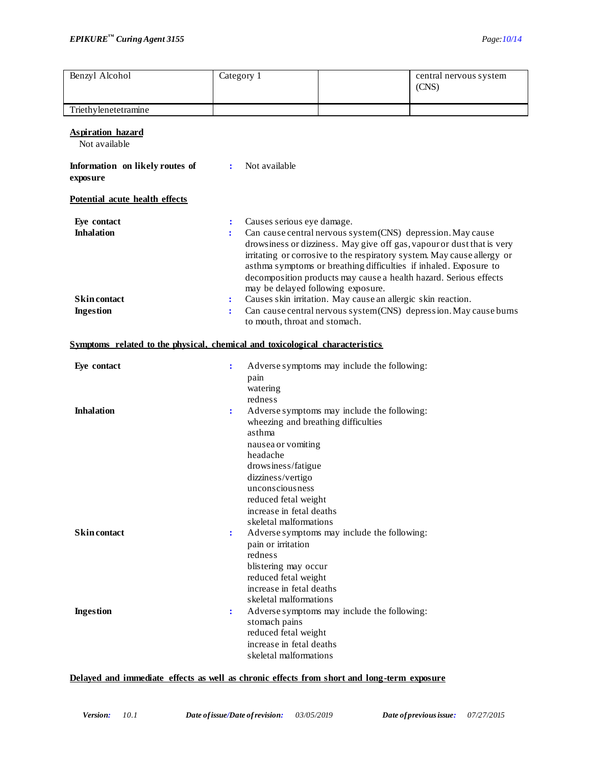| Benzyl Alcohol                              | Category 1                                                                   |                                                                                                                                                                                                                                        |                                                              | central nervous system<br>(CNS)                                                                                                                                                                                                                                                             |  |  |
|---------------------------------------------|------------------------------------------------------------------------------|----------------------------------------------------------------------------------------------------------------------------------------------------------------------------------------------------------------------------------------|--------------------------------------------------------------|---------------------------------------------------------------------------------------------------------------------------------------------------------------------------------------------------------------------------------------------------------------------------------------------|--|--|
|                                             |                                                                              |                                                                                                                                                                                                                                        |                                                              |                                                                                                                                                                                                                                                                                             |  |  |
| Triethylenetetramine                        |                                                                              |                                                                                                                                                                                                                                        |                                                              |                                                                                                                                                                                                                                                                                             |  |  |
| <b>Aspiration hazard</b><br>Not available   |                                                                              |                                                                                                                                                                                                                                        |                                                              |                                                                                                                                                                                                                                                                                             |  |  |
| Information on likely routes of<br>exposure | $\ddot{\cdot}$                                                               | Not available                                                                                                                                                                                                                          |                                                              |                                                                                                                                                                                                                                                                                             |  |  |
| Potential acute health effects              |                                                                              |                                                                                                                                                                                                                                        |                                                              |                                                                                                                                                                                                                                                                                             |  |  |
| Eye contact<br><b>Inhalation</b>            | $\ddot{\cdot}$                                                               | Causes serious eye damage.<br>may be delayed following exposure.                                                                                                                                                                       | Can cause central nervous system (CNS) depression. May cause | drowsiness or dizziness. May give off gas, vapour or dust that is very<br>irritating or corrosive to the respiratory system. May cause allergy or<br>asthma symptoms or breathing difficulties if inhaled. Exposure to<br>decomposition products may cause a health hazard. Serious effects |  |  |
| <b>Skin contact</b><br><b>Ingestion</b>     | ÷<br>÷                                                                       | to mouth, throat and stomach.                                                                                                                                                                                                          | Causes skin irritation. May cause an allergic skin reaction. | Can cause central nervous system (CNS) depression. May cause burns                                                                                                                                                                                                                          |  |  |
|                                             | Symptoms related to the physical, chemical and toxicological characteristics |                                                                                                                                                                                                                                        |                                                              |                                                                                                                                                                                                                                                                                             |  |  |
| Eye contact                                 | $\ddot{\cdot}$                                                               | pain<br>watering                                                                                                                                                                                                                       | Adverse symptoms may include the following:                  |                                                                                                                                                                                                                                                                                             |  |  |
| <b>Inhalation</b>                           | $\ddot{\cdot}$                                                               | redness<br>wheezing and breathing difficulties<br>asthma<br>nausea or vomiting<br>headache<br>drowsiness/fatigue<br>dizziness/vertigo<br>unconsciousness<br>reduced fetal weight<br>increase in fetal deaths<br>skeletal malformations | Adverse symptoms may include the following:                  |                                                                                                                                                                                                                                                                                             |  |  |
| <b>Skin contact</b>                         | $\ddot{\cdot}$                                                               | pain or irritation<br>redness<br>blistering may occur<br>reduced fetal weight<br>increase in fetal deaths<br>skeletal malformations                                                                                                    | Adverse symptoms may include the following:                  |                                                                                                                                                                                                                                                                                             |  |  |
| <b>Ingestion</b>                            | $\ddot{\cdot}$                                                               | stomach pains<br>reduced fetal weight<br>increase in fetal deaths<br>skeletal malformations                                                                                                                                            | Adverse symptoms may include the following:                  |                                                                                                                                                                                                                                                                                             |  |  |

### **Delayed and immediate effects as well as chronic effects from short and long-term exposure**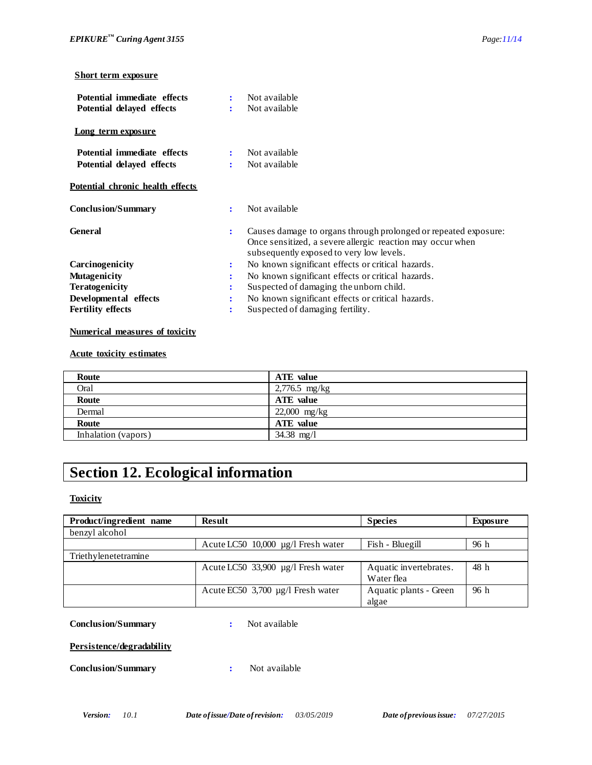### **Short term exposure**

| Potential immediate effects<br>Potential delayed effects |                           | Not available<br>Not available                                                                                                                                            |
|----------------------------------------------------------|---------------------------|---------------------------------------------------------------------------------------------------------------------------------------------------------------------------|
| Long term exposure                                       |                           |                                                                                                                                                                           |
| Potential immediate effects<br>Potential delayed effects | $\ddot{\phantom{a}}$<br>÷ | Not available<br>Not available                                                                                                                                            |
| <b>Potential chronic health effects</b>                  |                           |                                                                                                                                                                           |
| <b>Conclusion/Summary</b>                                | ÷                         | Not available                                                                                                                                                             |
| <b>General</b>                                           | ÷                         | Causes damage to organs through prolonged or repeated exposure:<br>Once sensitized, a severe allergic reaction may occur when<br>subsequently exposed to very low levels. |
| Carcinogenicity                                          | ÷                         | No known significant effects or critical hazards.                                                                                                                         |
| <b>Mutagenicity</b>                                      |                           | No known significant effects or critical hazards.                                                                                                                         |
| <b>Teratogenicity</b>                                    | ÷                         | Suspected of damaging the unborn child.                                                                                                                                   |
| Developmental effects                                    | ÷                         | No known significant effects or critical hazards.                                                                                                                         |
| <b>Fertility effects</b>                                 |                           | Suspected of damaging fertility.                                                                                                                                          |

### **Numerical measures of toxicity**

### **Acute toxicity estimates**

| Route               | ATE value        |
|---------------------|------------------|
| Oral                | $2,776.5$ mg/kg  |
| Route               | <b>ATE</b> value |
| Dermal              | $22,000$ mg/kg   |
| Route               | <b>ATE</b> value |
| Inhalation (vapors) | 34.38 $mg/l$     |

# **Section 12. Ecological information**

**Toxicity**

| Product/ingredient name | <b>Result</b>                           | <b>Species</b>         | Exposure |
|-------------------------|-----------------------------------------|------------------------|----------|
| benzyl alcohol          |                                         |                        |          |
|                         | Acute LC50 $10,000 \mu g/l$ Fresh water | Fish - Bluegill        | 96 h     |
| Triethylenetetramine    |                                         |                        |          |
|                         | Acute LC50 33,900 µg/l Fresh water      | Aquatic invertebrates. | 48 h     |
|                         |                                         | Water flea             |          |
|                         | Acute EC50 3,700 µg/l Fresh water       | Aquatic plants - Green | 96h      |
|                         |                                         | algae                  |          |

### **Conclusion/Summary :** Not available

### **Persistence/degradability**

### **Conclusion/Summary :** Not available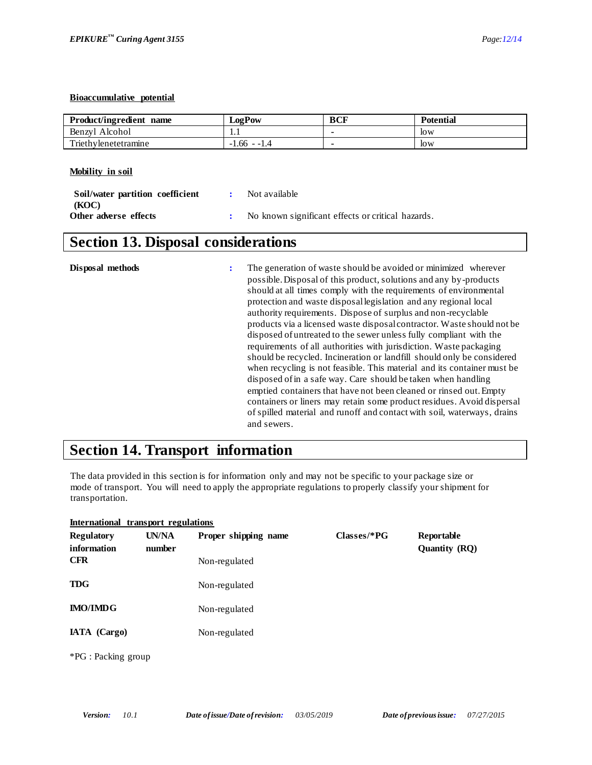### **Bioaccumulative potential**

| Product/ingredient name | <b>LogPow</b>                 | BCF | <b>Potential</b> |
|-------------------------|-------------------------------|-----|------------------|
| Benzvl Alcohol          | $\mathbf{1} \cdot \mathbf{1}$ |     | low              |
| Triethylenetetramine    | $-1.66 - 1.$                  |     | low              |

**Mobility in soil**

| Soil/water partition coefficient | <b><i>Contract State</i></b> | Not available                                     |
|----------------------------------|------------------------------|---------------------------------------------------|
| (KOC)<br>Other adverse effects   |                              | No known significant effects or critical hazards. |

# **Section 13. Disposal considerations**

| should at all times comply with the requirements of environmental<br>protection and waste disposal legislation and any regional local<br>authority requirements. Dispose of surplus and non-recyclable<br>products via a licensed waste disposal contractor. Waste should not be<br>disposed of untreated to the sewer unless fully compliant with the<br>requirements of all authorities with jurisdiction. Wastepackaging<br>should be recycled. Incineration or landfill should only be considered<br>when recycling is not feasible. This material and its container must be<br>disposed of in a safe way. Care should be taken when handling<br>emptied containers that have not been cleaned or rinsed out. Empty<br>containers or liners may retain some product residues. Avoid dispersal<br>of spilled material and runoff and contact with soil, waterways, drains<br>and sewers. |
|---------------------------------------------------------------------------------------------------------------------------------------------------------------------------------------------------------------------------------------------------------------------------------------------------------------------------------------------------------------------------------------------------------------------------------------------------------------------------------------------------------------------------------------------------------------------------------------------------------------------------------------------------------------------------------------------------------------------------------------------------------------------------------------------------------------------------------------------------------------------------------------------|
|---------------------------------------------------------------------------------------------------------------------------------------------------------------------------------------------------------------------------------------------------------------------------------------------------------------------------------------------------------------------------------------------------------------------------------------------------------------------------------------------------------------------------------------------------------------------------------------------------------------------------------------------------------------------------------------------------------------------------------------------------------------------------------------------------------------------------------------------------------------------------------------------|

# **Section 14. Transport information**

The data provided in this section is for information only and may not be specific to your package size or mode of transport. You will need to apply the appropriate regulations to properly classify your shipment for transportation.

|                                                | International transport regulations |                                       |               |                                    |
|------------------------------------------------|-------------------------------------|---------------------------------------|---------------|------------------------------------|
| <b>Regulatory</b><br>information<br><b>CFR</b> | UN/NA<br>number                     | Proper shipping name<br>Non-regulated | $Classes/*PG$ | Reportable<br><b>Quantity (RQ)</b> |
| <b>TDG</b>                                     |                                     | Non-regulated                         |               |                                    |
| <b>IMO/IMDG</b>                                |                                     | Non-regulated                         |               |                                    |
| IATA (Cargo)                                   |                                     | Non-regulated                         |               |                                    |
| *PG : Packing group                            |                                     |                                       |               |                                    |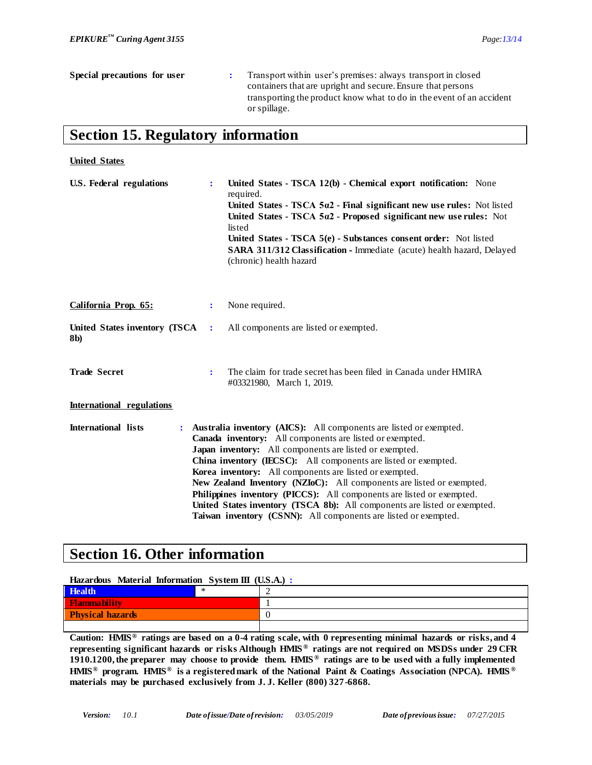**United States**

| Special precautions for user                                                      | Transport within user's premises: always transport in closed<br>containers that are upright and secure. Ensure that persons<br>transporting the product know what to do in the event of an accident<br>or spillage. |
|-----------------------------------------------------------------------------------|---------------------------------------------------------------------------------------------------------------------------------------------------------------------------------------------------------------------|
| $\mathcal{C}_{\text{ext}}$ of $\mathcal{C}$ Decodes to $\mathcal{C}_{\text{ext}}$ |                                                                                                                                                                                                                     |

## **Section 15. Regulatory information**

| <b>U.S. Federal regulations</b>      | ÷ | United States - TSCA 12(b) - Chemical export notification: None<br>required.<br>United States - TSCA $5\alpha$ 2 - Final significant new use rules: Not listed<br>United States - TSCA 5a2 - Proposed significant new use rules: Not<br>listed<br>United States - TSCA 5(e) - Substances consent order: Not listed<br>SARA 311/312 Classification - Immediate (acute) health hazard, Delayed<br>(chronic) health hazard                                                                                                                                                                                                                 |
|--------------------------------------|---|-----------------------------------------------------------------------------------------------------------------------------------------------------------------------------------------------------------------------------------------------------------------------------------------------------------------------------------------------------------------------------------------------------------------------------------------------------------------------------------------------------------------------------------------------------------------------------------------------------------------------------------------|
| California Prop. 65:                 | ÷ | None required.                                                                                                                                                                                                                                                                                                                                                                                                                                                                                                                                                                                                                          |
| United States inventory (TSCA<br>8b) | ÷ | All components are listed or exempted.                                                                                                                                                                                                                                                                                                                                                                                                                                                                                                                                                                                                  |
| <b>Trade Secret</b>                  | ÷ | The claim for trade secret has been filed in Canada under HMIRA<br>#03321980, March 1, 2019.                                                                                                                                                                                                                                                                                                                                                                                                                                                                                                                                            |
| International regulations            |   |                                                                                                                                                                                                                                                                                                                                                                                                                                                                                                                                                                                                                                         |
| <b>International lists</b>           |   | Australia inventory (AICS): All components are listed or exempted.<br>Canada inventory: All components are listed or exempted.<br>Japan inventory: All components are listed or exempted.<br>China inventory (IECSC): All components are listed or exempted.<br>Korea inventory: All components are listed or exempted.<br><b>New Zealand Inventory (NZIoC):</b> All components are listed or exempted.<br>Philippines inventory (PICCS): All components are listed or exempted.<br>United States inventory (TSCA 8b): All components are listed or exempted.<br><b>Taiwan inventory (CSNN):</b> All components are listed or exempted. |

# **Section 16. Other information**

| Hazardous Material Information System III (U.S.A.): |  |  |  |
|-----------------------------------------------------|--|--|--|
| <b>Health</b>                                       |  |  |  |
| <b>Flammability</b>                                 |  |  |  |
| <b>Physical hazards</b>                             |  |  |  |
|                                                     |  |  |  |

**Caution: HMIS® ratings are based on a 0-4 rating scale, with 0 representing minimal hazards or risks, and 4 representing significant hazards or risks Although HMIS ® ratings are not required on MSDSs under 29 CFR 1910.1200, the preparer may choose to provide them. HMIS ® ratings are to be used with a fully implemented HMIS® program. HMIS® is a registered mark of the National Paint & Coatings Association (NPCA). HMIS ® materials may be purchased exclusively from J. J. Keller (800) 327-6868.**

*Version: 10.1 Date of issue/Date of revision: 03/05/2019 Date of previous issue: 07/27/2015*